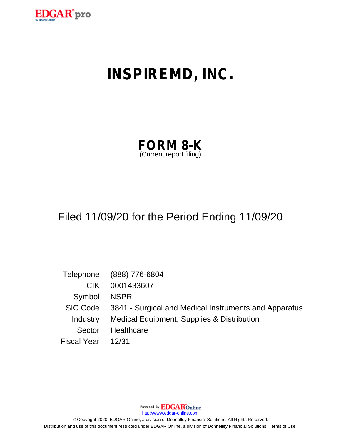

# **INSPIREMD, INC.**

| <b>FORM 8-K</b>         |  |
|-------------------------|--|
| (Current report filing) |  |

## Filed 11/09/20 for the Period Ending 11/09/20

|                    | Telephone (888) 776-6804                                       |
|--------------------|----------------------------------------------------------------|
| CIK.               | 0001433607                                                     |
| Symbol NSPR        |                                                                |
|                    | SIC Code 3841 - Surgical and Medical Instruments and Apparatus |
|                    | Industry Medical Equipment, Supplies & Distribution            |
| Sector             | Healthcare                                                     |
| Fiscal Year  12/31 |                                                                |

Powered By **EDGAR**Online

http://www.edgar-online.com

© Copyright 2020, EDGAR Online, a division of Donnelley Financial Solutions. All Rights Reserved. Distribution and use of this document restricted under EDGAR Online, a division of Donnelley Financial Solutions, Terms of Use.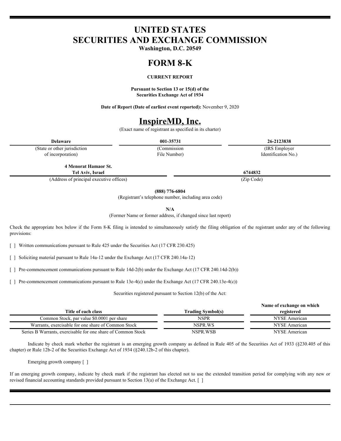## **UNITED STATES SECURITIES AND EXCHANGE COMMISSION**

**Washington, D.C. 20549**

## **FORM 8-K**

#### **CURRENT REPORT**

**Pursuant to Section 13 or 15(d) of the Securities Exchange Act of 1934**

**Date of Report (Date of earliest event reported):** November 9, 2020

## **InspireMD, Inc.**

(Exact name of registrant as specified in its charter)

(State or other jurisdiction of incorporation)

File Number)

**Delaware 001-35731 26-2123838** (Commission (IRS Employer Identification No.)

**4 Menorat Hamaor St. Tel Aviv, Israel 6744832**

(Address of principal executive offices) (Zip Code)

**(888) 776-6804**

(Registrant's telephone number, including area code)

**N/A**

(Former Name or former address, if changed since last report)

Check the appropriate box below if the Form 8-K filing is intended to simultaneously satisfy the filing obligation of the registrant under any of the following provisions:

[ ] Written communications pursuant to Rule 425 under the Securities Act (17 CFR 230.425)

[ ] Soliciting material pursuant to Rule 14a-12 under the Exchange Act (17 CFR 240.14a-12)

[ ] Pre-commencement communications pursuant to Rule 14d-2(b) under the Exchange Act (17 CFR 240.14d-2(b))

[ ] Pre-commencement communications pursuant to Rule 13e-4(c) under the Exchange Act (17 CFR 240.13e-4(c))

Securities registered pursuant to Section 12(b) of the Act:

|                                                              | Name of exchange on which |               |
|--------------------------------------------------------------|---------------------------|---------------|
| Title of each class                                          | <b>Frading Symbol(s)</b>  | registered    |
| Common Stock, par value \$0.0001 per share                   | NSPR                      | NYSE American |
| Warrants, exercisable for one share of Common Stock          | NSPR.WS                   | NYSE American |
| Series B Warrants, exercisable for one share of Common Stock | NSPR WSB                  | NYSE American |

Indicate by check mark whether the registrant is an emerging growth company as defined in Rule 405 of the Securities Act of 1933 (§230.405 of this chapter) or Rule 12b-2 of the Securities Exchange Act of 1934 (§240.12b-2 of this chapter).

Emerging growth company [ ]

If an emerging growth company, indicate by check mark if the registrant has elected not to use the extended transition period for complying with any new or revised financial accounting standards provided pursuant to Section 13(a) of the Exchange Act. [ ]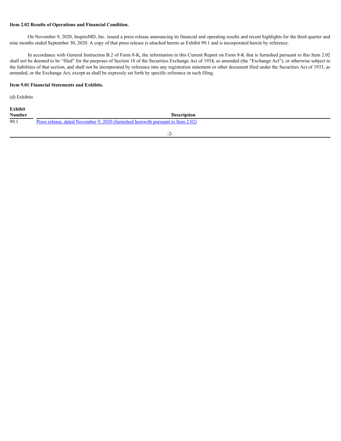#### **Item 2.02 Results of Operations and Financial Condition.**

On November 9, 2020, InspireMD, Inc. issued a press release announcing its financial and operating results and recent highlights for the third quarter and nine months ended September 30, 2020. A copy of that press release is attached hereto as Exhibit 99.1 and is incorporated herein by reference.

In accordance with General Instruction B.2 of Form 8-K, the information in this Current Report on Form 8-K that is furnished pursuant to this Item 2.02 shall not be deemed to be "filed" for the purposes of Section 18 of the Securities Exchange Act of 1934, as amended (the "Exchange Act"), or otherwise subject to the liabilities of that section, and shall not be incorporated by reference into any registration statement or other document filed under the Securities Act of 1933, as amended, or the Exchange Act, except as shall be expressly set forth by specific reference in such filing.

#### **Item 9.01 Financial Statements and Exhibits.**

(d) Exhibits

| Exhibit       |                                                                                  |  |
|---------------|----------------------------------------------------------------------------------|--|
| <b>Number</b> | Description                                                                      |  |
| 99.1          | Press release, dated November 9, 2020 (furnished herewith pursuant to Item 2.02) |  |

-2-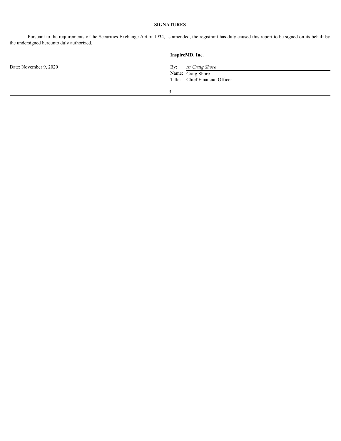#### **SIGNATURES**

Pursuant to the requirements of the Securities Exchange Act of 1934, as amended, the registrant has duly caused this report to be signed on its behalf by the undersigned hereunto duly authorized.

Date: November 9, 2020

#### **InspireMD, Inc.**

By: /s/ Craig Shore<br>Name: Craig Shore Title: Chief Financial Officer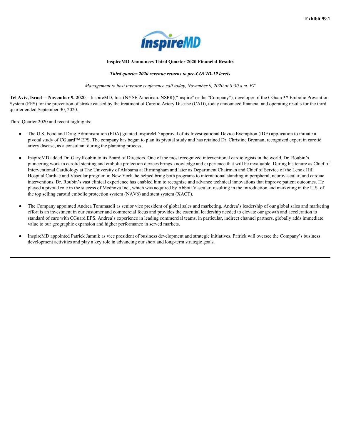

#### **InspireMD Announces Third Quarter 2020 Financial Results**

#### *Third quarter 2020 revenue returns to pre-COVID-19 levels*

*Management to host investor conference call today, November 9, 2020 at 8:30 a.m. ET*

<span id="page-4-0"></span>**Tel Aviv, Israel— November 9, 2020** – InspireMD, Inc. (NYSE American: NSPR)("Inspire" or the "Company"), developer of the CGuard™ Embolic Prevention System (EPS) for the prevention of stroke caused by the treatment of Carotid Artery Disease (CAD), today announced financial and operating results for the third quarter ended September 30, 2020.

Third Quarter 2020 and recent highlights:

- The U.S. Food and Drug Administration (FDA) granted InspireMD approval of its Investigational Device Exemption (IDE) application to initiate a pivotal study of CGuard™ EPS. The company has begun to plan its pivotal study and has retained Dr. Christine Brennan, recognized expert in carotid artery disease, as a consultant during the planning process.
- InspireMD added Dr. Gary Roubin to its Board of Directors. One of the most recognized interventional cardiologists in the world, Dr. Roubin's pioneering work in carotid stenting and embolic protection devices brings knowledge and experience that will be invaluable. During his tenure as Chief of Interventional Cardiology at The University of Alabama at Birmingham and later as Department Chairman and Chief of Service of the Lenox Hill Hospital Cardiac and Vascular program in New York, he helped bring both programs to international standing in peripheral, neurovascular, and cardiac interventions. Dr. Roubin's vast clinical experience has enabled him to recognize and advance technical innovations that improve patient outcomes. He played a pivotal role in the success of Mednova Inc., which was acquired by Abbott Vascular, resulting in the introduction and marketing in the U.S. of the top selling carotid embolic protection system (NAV6) and stent system (XACT).
- The Company appointed Andrea Tommasoli as senior vice president of global sales and marketing. Andrea's leadership of our global sales and marketing effort is an investment in our customer and commercial focus and provides the essential leadership needed to elevate our growth and acceleration to standard of care with CGuard EPS. Andrea's experience in leading commercial teams, in particular, indirect channel partners, globally adds immediate value to our geographic expansion and higher performance in served markets.
- InspireMD appointed Patrick Jamnik as vice president of business development and strategic initiatives. Patrick will oversee the Company's business development activities and play a key role in advancing our short and long-term strategic goals.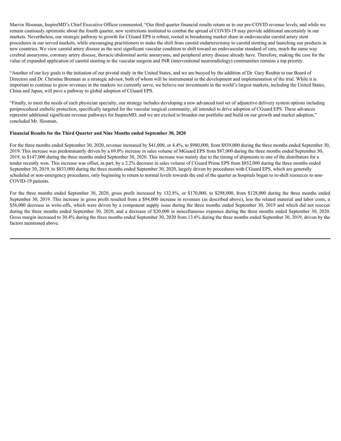Marvin Slosman, InspireMD's Chief Executive Officer commented, "Our third quarter financial results return us to our pre-COVID revenue levels, and while we remain cautiously optimistic about the fourth quarter, new restrictions instituted to combat the spread of COVID-19 may provide additional uncertainly in our markets. Nevertheless, our strategic pathway to growth for CGuard EPS is robust, rooted in broadening market share in endovascular carotid artery stent procedures in our served markets, while encouraging practitioners to make the shift from carotid endarterectomy to carotid stenting and launching our products in new countries. We view carotid artery disease as the next significant vascular condition to shift toward an endovascular standard of care, much the same way cerebral aneurysms, coronary artery disease, thoracic/abdominal aortic aneurysms, and peripheral artery disease already have. Therefore, making the case for the value of expanded application of carotid stenting to the vascular surgeon and INR (interventional neuroradiology) communities remains a top priority.

"Another of our key goals is the initiation of our pivotal study in the United States, and we are buoyed by the addition of Dr. Gary Roubin to our Board of Directors and Dr. Christine Brennan as a strategic advisor, both of whom will be instrumental in the development and implementation of the trial. While it is important to continue to grow revenues in the markets we currently serve, we believe our investments in the world's largest markets, including the United States, China and Japan, will pave a pathway to global adoption of CGuard EPS.

"Finally, to meet the needs of each physician specialty, our strategy includes developing a new advanced tool set of adjunctive delivery system options including periprocedural embolic protection, specifically targeted for the vascular surgical community, all intended to drive adoption of CGuard EPS. These advances represent additional significant revenue pathways for InspireMD, and we are excited to broaden our portfolio and build on our growth and market adoption," concluded Mr. Slosman.

#### **Financial Results for the Third Quarter and Nine Months ended September 30, 2020**

For the three months ended September 30, 2020, revenue increased by \$41,000, or 4.4%, to \$980,000, from \$939,000 during the three months ended September 30, 2019. This increase was predominantly driven by a 69.0% increase in sales volume of MGuard EPS from \$87,000 during the three months ended September 30, 2019, to \$147,000 during the three months ended September 30, 2020. This increase was mainly due to the timing of shipments to one of the distributors for a tender recently won. This increase was offset, in part, by a 2.2% decrease in sales volume of CGuard Prime EPS from \$852,000 during the three months ended September 30, 2019, to \$833,000 during the three months ended September 30, 2020, largely driven by procedures with CGuard EPS, which are generally scheduled or non-emergency procedures, only beginning to return to normal levels towards the end of the quarter as hospitals began to re-shift resources to non-COVID-19 patients. Marin Sotuna, hapiecMD s Calef Excentre Office comments! "Our fuird quarer famelihe sink rest of OVID-19 may provide addressed to the three months control to the system of the DVID-19 may provide addressed to the months c

September 30, 2019. This increase in gross profit resulted from a \$94,000 increase in revenues (as described above), less the related material and labor costs, a \$56,000 decrease in write-offs, which were driven by a component supply issue during the three months ended September 30, 2019 and which did not reoccur during the three months ended September 30, 2020, and a decrease of \$20,000 in miscellaneous expenses during the three months ended September 30, 2020. Gross margin increased to 30.4% during the three months ended September 30, 2020 from 13.6% during the three months ended September 30, 2019, driven by the factors mentioned above.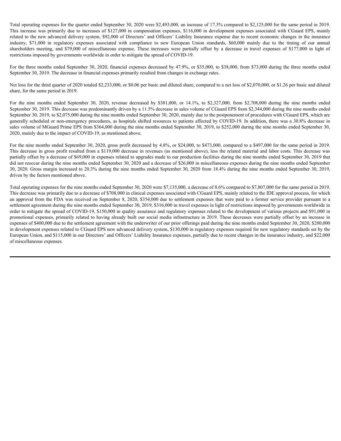Total operating expenses for the quarter ended September 30, 2020 were \$2,493,000, an increase of 17.3% compared to \$2,125,000 for the same period in 2019. Total operating expenses for the quarter ended September 30, 2020 were \$2,493,000, an increase of 17.3% compared to \$2,125,000 for the same period in 2019.<br>This increase was primarily due to increases of \$127,000 in compen related to the new advanced delivery system, \$92,000 of Directors' and Officers' Liability Insurance expense due to recent economic changes in the insurance Total operating expenses for the quarter ended September 30, 2020 were \$2,493,000, an increase of 17.3% compared to \$2,125,000 for the same period in 2019.<br>This increase was primarily due to increases of \$127,000 in compen Total operating expenses for the quarter ended September 30, 2020 were \$2,493,000, an increase of 17.3% compared to \$2,125,000 for the same period in 2019.<br>This increase was primarily due to increases of \$127,000 in compen restrictions imposed by governments worldwide in order to mitigate the spread of COVID-19. Total operating expenses for the quarter ended September 30, 2020 were \$2,493,000, an increase of 17.3% compared to \$2,125,000 for the same period in 2019.<br>This increase was primarily due to increases of \$127,000 of Direc

For the three months ended September 30, 2020, financial expenses decreased by 47.9%, or \$35,000, to \$38,000, from \$73,000 during the three months ended September 30, 2019. The decrease in financial expenses primarily resulted from changes in exchange rates.

Net loss for the third quarter of 2020 totaled \$2,233,000, or \$0.06 per basic and diluted share, compared to a net loss of \$2,070,000, or \$1.26 per basic and diluted share, for the same period in 2019.

September 30, 2019. This decrease was predominantly driven by a 11.5% decrease in sales volume of CGuard EPS from \$2,344,000 during the nine months ended September 30, 2019, to \$2,075,000 during the nine months ended September 30, 2020, mainly due to the postponement of procedures with CGuard EPS, which are generally scheduled or non-emergency procedures, as hospitals shifted resources to patients affected by COVID-19. In addition, there was a 30.8% decrease in sales volume of MGuard Prime EPS from \$364,000 during the nine months ended September 30, 2019, to \$252,000 during the nine months ended September 30, 2020, mainly due to the impact of COVID-19, as mentioned above.

For the nine months ended September 30, 2020, gross profit decreased by 4.8%, or \$24,000, to \$473,000, compared to a \$497,000 for the same period in 2019. This decrease in gross profit resulted from a \$119,000 decrease in revenues (as mentioned above), less the related material and labor costs. This decrease was partially offset by a decrease of \$69,000 in expenses related to upgrades made to our production facilities during the nine months ended September 30, 2019 that did not reoccur during the nine months ended September 30, 2020 and a decrease of \$26,000 in miscellaneous expenses during the nine months ended September 30, 2020. Gross margin increased to 20.3% during the nine months ended September 30, 2020 from 18.4% during the nine months ended September 30, 2019, driven by the factors mentioned above.

Total operating expenses for the nine months ended September 30, 2020 were \$7,135,000, a decrease of 8.6% compared to \$7,807,000 for the same period in 2019. This decrease was primarily due to a decrease of \$708,000 in clinical expenses associated with CGuard EPS, mainly related to the IDE approval process, for which an approval from the FDA was received on September 8, 2020, \$354,000 due to settlement expenses that were paid to a former service provider pursuant to a settlement agreement during the nine months ended September 30, 2019, \$316,000 in travel expenses in light of restrictions imposed by governments worldwide in order to mitigate the spread of COVID-19, \$150,000 in quality assurance and regulatory expenses related to the development of various projects and \$91,000 in promotional expenses, primarily related to having already built our social media infrastructure in 2019. These decreases were partially offset by an increase in expenses of \$400,000 due to the settlement agreement with the underwriter of our prior offerings paid during the nine months ended September 30, 2020, \$280,000 in development expenses related to CGuard EPS new advanced delivery system, \$130,000 in regulatory expenses required for new regulatory standards set by the European Union, and \$115,000 in our Directors' and Officers' Liability Insurance expenses, partially due to recent changes in the insurance industry, and \$22,000 of miscellaneous expenses.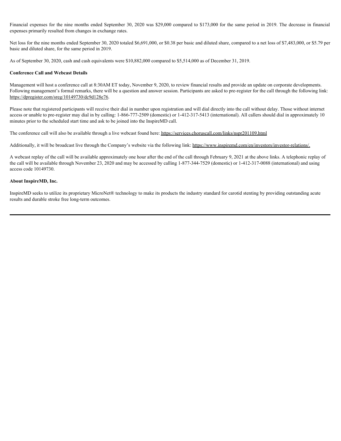Financial expenses for the nine months ended September 30, 2020 was \$29,000 compared to \$173,000 for the same period in 2019. The decrease in financial expenses primarily resulted from changes in exchange rates.

Net loss for the nine months ended September 30, 2020 totaled \$6,691,000, or \$0.38 per basic and diluted share, compared to a net loss of \$7,483,000, or \$5.79 per basic and diluted share, for the same period in 2019.

As of September 30, 2020, cash and cash equivalents were \$10,882,000 compared to \$5,514,000 as of December 31, 2019.

#### **Conference Call and Webcast Details**

Management will host a conference call at 8:30AM ET today, November 9, 2020, to review financial results and provide an update on corporate developments. Following management's formal remarks, there will be a question and answer session. Participants are asked to pre-register for the call through the following link: https://dpregister.com/sreg/10149730/dc9d128e76.

Please note that registered participants will receive their dial in number upon registration and will dial directly into the call without delay. Those without internet access or unable to pre-register may dial in by calling: 1-866-777-2509 (domestic) or 1-412-317-5413 (international). All callers should dial in approximately 10 minutes prior to the scheduled start time and ask to be joined into the InspireMD call.

The conference call will also be available through a live webcast found here: https://services.choruscall.com/links/nspr201109.html

Additionally, it will be broadcast live through the Company's website via the following link: https://www.inspiremd.com/en/investors/investor-relations/.

A webcast replay of the call will be available approximately one hour after the end of the call through February 9, 2021 at the above links. A telephonic replay of the call will be available through November 23, 2020 and may be accessed by calling 1-877-344-7529 (domestic) or 1-412-317-0088 (international) and using access code 10149730.

#### **About InspireMD, Inc.**

InspireMD seeks to utilize its proprietary MicroNet® technology to make its products the industry standard for carotid stenting by providing outstanding acute results and durable stroke free long-term outcomes.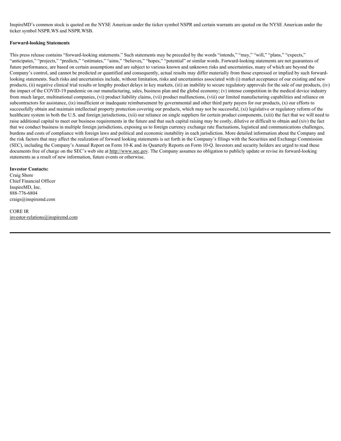InspireMD's common stock is quoted on the NYSE American under the ticker symbol NSPR and certain warrants are quoted on the NYSE American under the ticker symbol NSPR.WS and NSPR.WSB.

#### **Forward-looking Statements**

This press release contains "forward-looking statements." Such statements may be preceded by the words "intends," "may," "will," "plans," "expects," "anticipates," "projects," "predicts," "estimates," "aims," "believes," "hopes," "potential" or similar words. Forward-looking statements are not guarantees of future performance, are based on certain assumptions and are subject to various known and unknown risks and uncertainties, many of which are beyond the Company's control, and cannot be predicted or quantified and consequently, actual results may differ materially from those expressed or implied by such forwardlooking statements. Such risks and uncertainties include, without limitation, risks and uncertainties associated with (i) market acceptance of our existing and new products, (ii) negative clinical trial results or lengthy product delays in key markets, (iii) an inability to secure regulatory approvals for the sale of our products, (iv) the impact of the COVID-19 pandemic on our manufacturing, sales, business plan and the global economy; (v) intense competition in the medical device industry from much larger, multinational companies, (vi) product liability claims, (vii) product malfunctions, (viii) our limited manufacturing capabilities and reliance on subcontractors for assistance, (ix) insufficient or inadequate reimbursement by governmental and other third party payers for our products, (x) our efforts to successfully obtain and maintain intellectual property protection covering our products, which may not be successful, (xi) legislative or regulatory reform of the healthcare system in both the U.S. and foreign jurisdictions, (xii) our reliance on single suppliers for certain product components, (xiii) the fact that we will need to raise additional capital to meet our business requirements in the future and that such capital raising may be costly, dilutive or difficult to obtain and (xiv) the fact that we conduct business in multiple foreign jurisdictions, exposing us to foreign currency exchange rate fluctuations, logistical and communications challenges, burdens and costs of compliance with foreign laws and political and economic instability in each jurisdiction. More detailed information about the Company and the risk factors that may affect the realization of forward looking statements is set forth in the Company's filings with the Securities and Exchange Commission (SEC), including the Company's Annual Report on Form 10-K and its Quarterly Reports on Form 10-Q. Investors and security holders are urged to read these documents free of charge on the SEC's web site at http://www.sec.gov. The Company assumes no obligation to publicly update or revise its forward-looking statements as a result of new information, future events or otherwise.

#### **Investor Contacts:**

Craig Shore Chief Financial Officer InspireMD, Inc. 888-776-6804 craigs@inspiremd.com

CORE IR investor-relations@inspiremd.com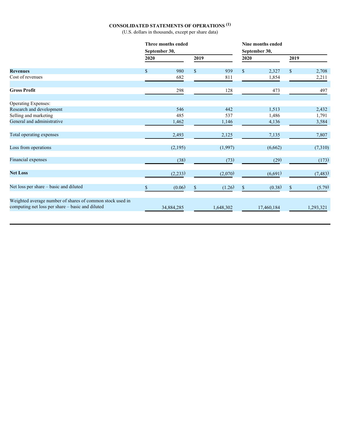#### **CONSOLIDATED STATEMENTS OF OPERATIONS (1)**

(U.S. dollars in thousands, except per share data)

|                                                                                                               |               | Three months ended |               |           | Nine months ended |               |              |           |  |  |
|---------------------------------------------------------------------------------------------------------------|---------------|--------------------|---------------|-----------|-------------------|---------------|--------------|-----------|--|--|
|                                                                                                               | September 30, |                    |               |           |                   | September 30, |              |           |  |  |
|                                                                                                               | 2020          |                    | 2019          |           | 2020              |               | 2019         |           |  |  |
| <b>Revenues</b>                                                                                               | $\mathbb{S}$  | 980                | <sup>\$</sup> | 939       | $\mathbb{S}$      | 2,327         | $\mathbb{S}$ | 2,708     |  |  |
| Cost of revenues                                                                                              |               | 682                |               | 811       |                   | 1,854         |              | 2,211     |  |  |
| <b>Gross Profit</b>                                                                                           |               | 298                |               | 128       |                   | 473           |              | 497       |  |  |
| Operating Expenses:                                                                                           |               |                    |               |           |                   |               |              |           |  |  |
| Research and development                                                                                      |               | 546                |               | 442       |                   | 1,513         |              | 2,432     |  |  |
| Selling and marketing                                                                                         |               | 485                |               | 537       |                   | 1,486         |              | 1,791     |  |  |
| General and administrative                                                                                    |               | 1,462              |               | 1,146     |                   | 4,136         |              | 3,584     |  |  |
| Total operating expenses                                                                                      |               | 2,493              |               | 2,125     |                   | 7,135         |              | 7,807     |  |  |
| Loss from operations                                                                                          |               | (2,195)            |               | (1,997)   |                   | (6,662)       |              | (7,310)   |  |  |
| Financial expenses                                                                                            |               | (38)               |               | (73)      |                   | (29)          |              | (173)     |  |  |
| <b>Net Loss</b>                                                                                               |               | (2,233)            |               | (2,070)   |                   | (6,691)       |              | (7, 483)  |  |  |
| Net loss per share - basic and diluted                                                                        |               | (0.06)             | -8            | (1.26)    | <sup>\$</sup>     | (0.38)        |              | (5.79)    |  |  |
| Weighted average number of shares of common stock used in<br>computing net loss per share - basic and diluted |               | 34,884,285         |               | 1,648,302 |                   | 17,460,184    |              | 1,293,321 |  |  |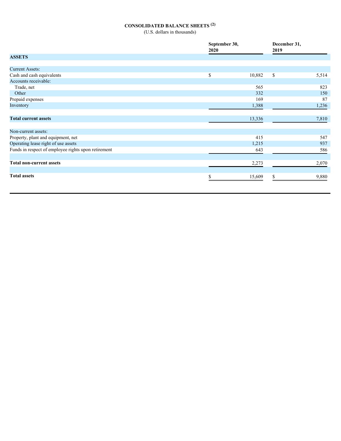## **CONSOLIDATED BALANCE SHEETS (2)**

(U.S. dollars in thousands)

|                                                     | September 30,<br>2020 |        | December 31,<br>2019 |       |
|-----------------------------------------------------|-----------------------|--------|----------------------|-------|
| <b>ASSETS</b>                                       |                       |        |                      |       |
| <b>Current Assets:</b>                              |                       |        |                      |       |
| Cash and cash equivalents                           | \$                    | 10,882 | \$                   | 5,514 |
| Accounts receivable:                                |                       |        |                      |       |
| Trade, net                                          |                       | 565    |                      | 823   |
| Other                                               |                       | 332    |                      | 150   |
| Prepaid expenses                                    |                       | 169    |                      | 87    |
| Inventory                                           |                       | 1,388  |                      | 1,236 |
|                                                     |                       |        |                      |       |
| <b>Total current assets</b>                         |                       | 13,336 |                      | 7,810 |
|                                                     |                       |        |                      |       |
| Non-current assets:                                 |                       |        |                      |       |
| Property, plant and equipment, net                  |                       | 415    |                      | 547   |
| Operating lease right of use assets                 |                       | 1,215  |                      | 937   |
| Funds in respect of employee rights upon retirement |                       | 643    |                      | 586   |
|                                                     |                       |        |                      |       |
| <b>Total non-current assets</b>                     |                       | 2,273  |                      | 2,070 |
|                                                     |                       |        |                      |       |
| <b>Total assets</b>                                 |                       | 15,609 |                      | 9,880 |
|                                                     |                       |        |                      |       |